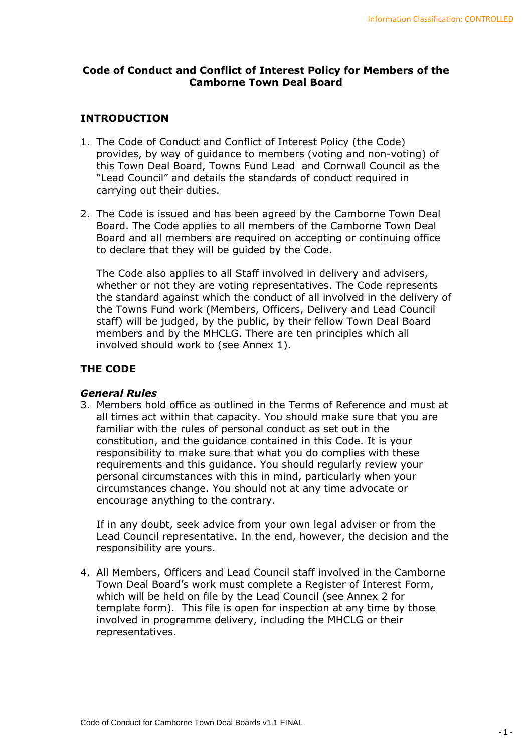## **Code of Conduct and Conflict of Interest Policy for Members of the Camborne Town Deal Board**

# **INTRODUCTION**

- 1. The Code of Conduct and Conflict of Interest Policy (the Code) provides, by way of guidance to members (voting and non-voting) of this Town Deal Board, Towns Fund Lead and Cornwall Council as the "Lead Council" and details the standards of conduct required in carrying out their duties.
- 2. The Code is issued and has been agreed by the Camborne Town Deal Board. The Code applies to all members of the Camborne Town Deal Board and all members are required on accepting or continuing office to declare that they will be guided by the Code.

The Code also applies to all Staff involved in delivery and advisers, whether or not they are voting representatives. The Code represents the standard against which the conduct of all involved in the delivery of the Towns Fund work (Members, Officers, Delivery and Lead Council staff) will be judged, by the public, by their fellow Town Deal Board members and by the MHCLG. There are ten principles which all involved should work to (see Annex 1).

# **THE CODE**

## *General Rules*

3. Members hold office as outlined in the Terms of Reference and must at all times act within that capacity. You should make sure that you are familiar with the rules of personal conduct as set out in the constitution, and the guidance contained in this Code. It is your responsibility to make sure that what you do complies with these requirements and this guidance. You should regularly review your personal circumstances with this in mind, particularly when your circumstances change. You should not at any time advocate or encourage anything to the contrary.

If in any doubt, seek advice from your own legal adviser or from the Lead Council representative. In the end, however, the decision and the responsibility are yours.

4. All Members, Officers and Lead Council staff involved in the Camborne Town Deal Board's work must complete a Register of Interest Form, which will be held on file by the Lead Council (see Annex 2 for template form). This file is open for inspection at any time by those involved in programme delivery, including the MHCLG or their representatives.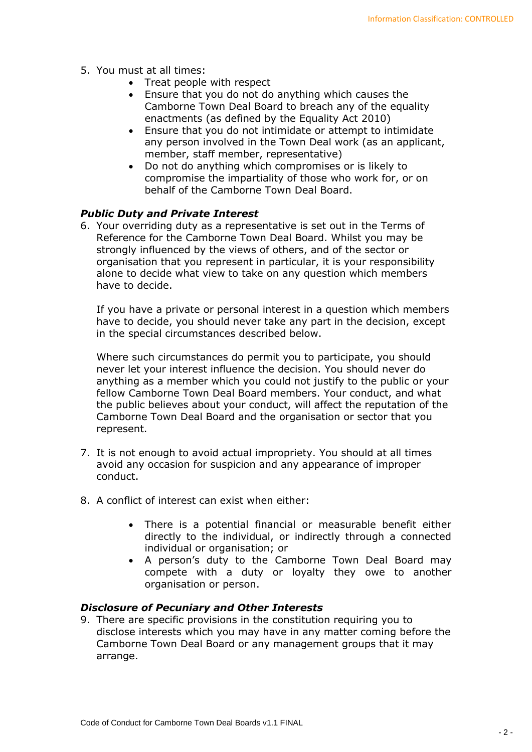- 5. You must at all times:
	- Treat people with respect
	- Ensure that you do not do anything which causes the Camborne Town Deal Board to breach any of the equality enactments (as defined by the Equality Act 2010)
	- Ensure that you do not intimidate or attempt to intimidate any person involved in the Town Deal work (as an applicant, member, staff member, representative)
	- Do not do anything which compromises or is likely to compromise the impartiality of those who work for, or on behalf of the Camborne Town Deal Board.

# *Public Duty and Private Interest*

6. Your overriding duty as a representative is set out in the Terms of Reference for the Camborne Town Deal Board. Whilst you may be strongly influenced by the views of others, and of the sector or organisation that you represent in particular, it is your responsibility alone to decide what view to take on any question which members have to decide.

If you have a private or personal interest in a question which members have to decide, you should never take any part in the decision, except in the special circumstances described below.

Where such circumstances do permit you to participate, you should never let your interest influence the decision. You should never do anything as a member which you could not justify to the public or your fellow Camborne Town Deal Board members. Your conduct, and what the public believes about your conduct, will affect the reputation of the Camborne Town Deal Board and the organisation or sector that you represent.

- 7. It is not enough to avoid actual impropriety. You should at all times avoid any occasion for suspicion and any appearance of improper conduct.
- 8. A conflict of interest can exist when either:
	- There is a potential financial or measurable benefit either directly to the individual, or indirectly through a connected individual or organisation; or
	- A person's duty to the Camborne Town Deal Board may compete with a duty or loyalty they owe to another organisation or person.

## *Disclosure of Pecuniary and Other Interests*

9. There are specific provisions in the constitution requiring you to disclose interests which you may have in any matter coming before the Camborne Town Deal Board or any management groups that it may arrange.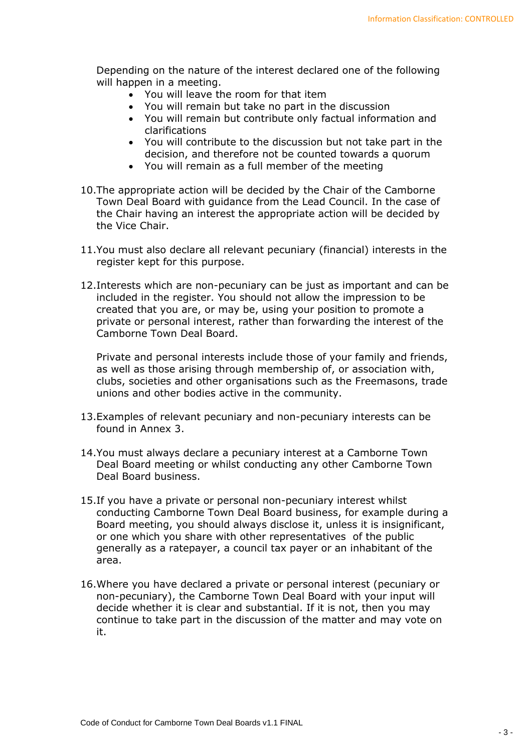Depending on the nature of the interest declared one of the following will happen in a meeting.

- You will leave the room for that item
- You will remain but take no part in the discussion
- You will remain but contribute only factual information and clarifications
- You will contribute to the discussion but not take part in the decision, and therefore not be counted towards a quorum
- You will remain as a full member of the meeting
- 10.The appropriate action will be decided by the Chair of the Camborne Town Deal Board with guidance from the Lead Council. In the case of the Chair having an interest the appropriate action will be decided by the Vice Chair.
- 11.You must also declare all relevant pecuniary (financial) interests in the register kept for this purpose.
- 12.Interests which are non-pecuniary can be just as important and can be included in the register. You should not allow the impression to be created that you are, or may be, using your position to promote a private or personal interest, rather than forwarding the interest of the Camborne Town Deal Board.

Private and personal interests include those of your family and friends, as well as those arising through membership of, or association with, clubs, societies and other organisations such as the Freemasons, trade unions and other bodies active in the community.

- 13.Examples of relevant pecuniary and non-pecuniary interests can be found in Annex 3.
- 14.You must always declare a pecuniary interest at a Camborne Town Deal Board meeting or whilst conducting any other Camborne Town Deal Board business.
- 15.If you have a private or personal non-pecuniary interest whilst conducting Camborne Town Deal Board business, for example during a Board meeting, you should always disclose it, unless it is insignificant, or one which you share with other representatives of the public generally as a ratepayer, a council tax payer or an inhabitant of the area.
- 16.Where you have declared a private or personal interest (pecuniary or non-pecuniary), the Camborne Town Deal Board with your input will decide whether it is clear and substantial. If it is not, then you may continue to take part in the discussion of the matter and may vote on it.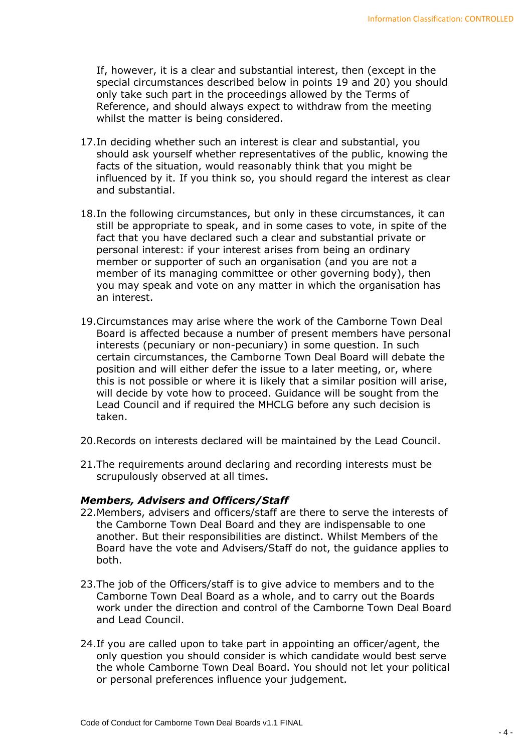If, however, it is a clear and substantial interest, then (except in the special circumstances described below in points 19 and 20) you should only take such part in the proceedings allowed by the Terms of Reference, and should always expect to withdraw from the meeting whilst the matter is being considered.

- 17.In deciding whether such an interest is clear and substantial, you should ask yourself whether representatives of the public, knowing the facts of the situation, would reasonably think that you might be influenced by it. If you think so, you should regard the interest as clear and substantial.
- 18.In the following circumstances, but only in these circumstances, it can still be appropriate to speak, and in some cases to vote, in spite of the fact that you have declared such a clear and substantial private or personal interest: if your interest arises from being an ordinary member or supporter of such an organisation (and you are not a member of its managing committee or other governing body), then you may speak and vote on any matter in which the organisation has an interest.
- 19.Circumstances may arise where the work of the Camborne Town Deal Board is affected because a number of present members have personal interests (pecuniary or non-pecuniary) in some question. In such certain circumstances, the Camborne Town Deal Board will debate the position and will either defer the issue to a later meeting, or, where this is not possible or where it is likely that a similar position will arise, will decide by vote how to proceed. Guidance will be sought from the Lead Council and if required the MHCLG before any such decision is taken.
- 20.Records on interests declared will be maintained by the Lead Council.
- 21.The requirements around declaring and recording interests must be scrupulously observed at all times.

#### *Members, Advisers and Officers/Staff*

- 22.Members, advisers and officers/staff are there to serve the interests of the Camborne Town Deal Board and they are indispensable to one another. But their responsibilities are distinct. Whilst Members of the Board have the vote and Advisers/Staff do not, the guidance applies to both.
- 23.The job of the Officers/staff is to give advice to members and to the Camborne Town Deal Board as a whole, and to carry out the Boards work under the direction and control of the Camborne Town Deal Board and Lead Council.
- 24.If you are called upon to take part in appointing an officer/agent, the only question you should consider is which candidate would best serve the whole Camborne Town Deal Board. You should not let your political or personal preferences influence your judgement.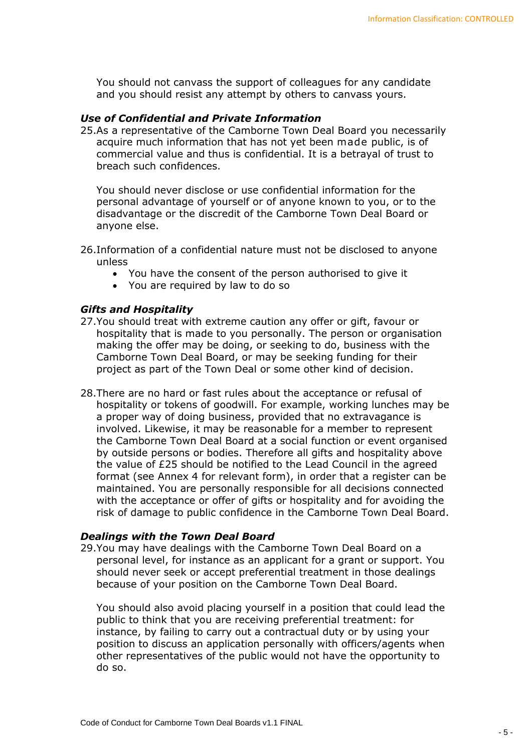You should not canvass the support of colleagues for any candidate and you should resist any attempt by others to canvass yours.

### *Use of Confidential and Private Information*

25.As a representative of the Camborne Town Deal Board you necessarily acquire much information that has not yet been made public, is of commercial value and thus is confidential. It is a betrayal of trust to breach such confidences.

You should never disclose or use confidential information for the personal advantage of yourself or of anyone known to you, or to the disadvantage or the discredit of the Camborne Town Deal Board or anyone else.

- 26.Information of a confidential nature must not be disclosed to anyone unless
	- You have the consent of the person authorised to give it
	- You are required by law to do so

## *Gifts and Hospitality*

- 27.You should treat with extreme caution any offer or gift, favour or hospitality that is made to you personally. The person or organisation making the offer may be doing, or seeking to do, business with the Camborne Town Deal Board, or may be seeking funding for their project as part of the Town Deal or some other kind of decision.
- 28.There are no hard or fast rules about the acceptance or refusal of hospitality or tokens of goodwill. For example, working lunches may be a proper way of doing business, provided that no extravagance is involved. Likewise, it may be reasonable for a member to represent the Camborne Town Deal Board at a social function or event organised by outside persons or bodies. Therefore all gifts and hospitality above the value of £25 should be notified to the Lead Council in the agreed format (see Annex 4 for relevant form), in order that a register can be maintained. You are personally responsible for all decisions connected with the acceptance or offer of gifts or hospitality and for avoiding the risk of damage to public confidence in the Camborne Town Deal Board.

#### *Dealings with the Town Deal Board*

29.You may have dealings with the Camborne Town Deal Board on a personal level, for instance as an applicant for a grant or support. You should never seek or accept preferential treatment in those dealings because of your position on the Camborne Town Deal Board.

You should also avoid placing yourself in a position that could lead the public to think that you are receiving preferential treatment: for instance, by failing to carry out a contractual duty or by using your position to discuss an application personally with officers/agents when other representatives of the public would not have the opportunity to do so.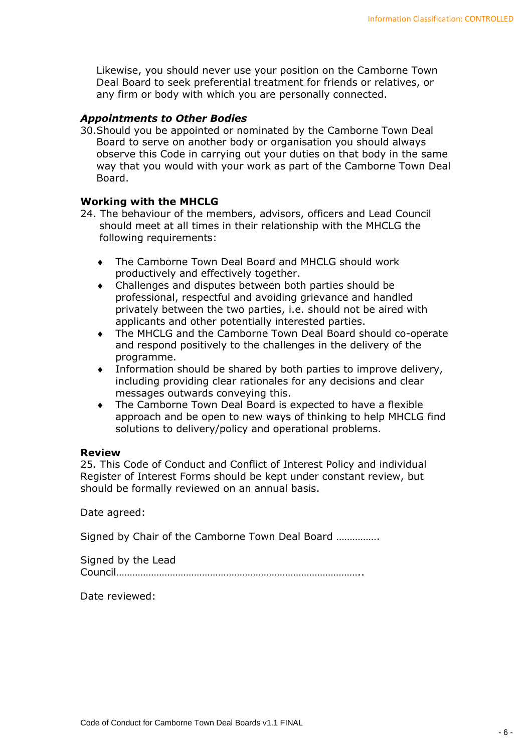Likewise, you should never use your position on the Camborne Town Deal Board to seek preferential treatment for friends or relatives, or any firm or body with which you are personally connected.

## *Appointments to Other Bodies*

30.Should you be appointed or nominated by the Camborne Town Deal Board to serve on another body or organisation you should always observe this Code in carrying out your duties on that body in the same way that you would with your work as part of the Camborne Town Deal Board.

## **Working with the MHCLG**

- 24. The behaviour of the members, advisors, officers and Lead Council should meet at all times in their relationship with the MHCLG the following requirements:
	- ◆ The Camborne Town Deal Board and MHCLG should work productively and effectively together.
	- Challenges and disputes between both parties should be professional, respectful and avoiding grievance and handled privately between the two parties, i.e. should not be aired with applicants and other potentially interested parties.
	- The MHCLG and the Camborne Town Deal Board should co-operate and respond positively to the challenges in the delivery of the programme.
	- Information should be shared by both parties to improve delivery, including providing clear rationales for any decisions and clear messages outwards conveying this.
	- The Camborne Town Deal Board is expected to have a flexible approach and be open to new ways of thinking to help MHCLG find solutions to delivery/policy and operational problems.

## **Review**

25. This Code of Conduct and Conflict of Interest Policy and individual Register of Interest Forms should be kept under constant review, but should be formally reviewed on an annual basis.

Date agreed:

Signed by Chair of the Camborne Town Deal Board …………….

Signed by the Lead Council………………………………………………………………………………..

Date reviewed: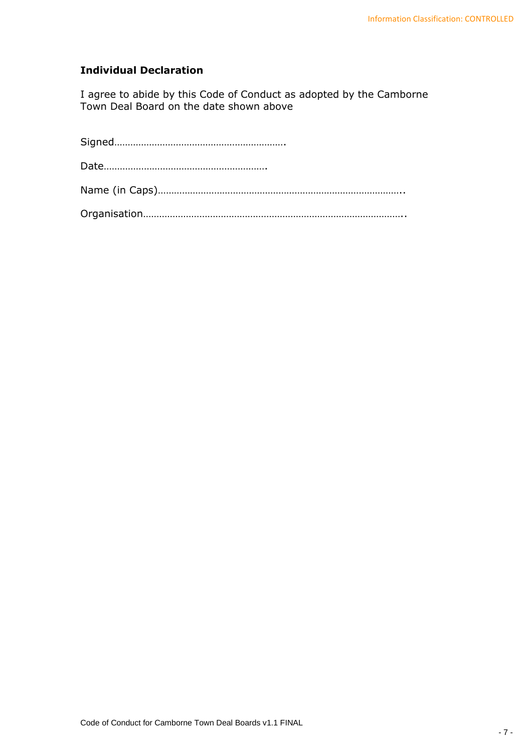# **Individual Declaration**

I agree to abide by this Code of Conduct as adopted by the Camborne Town Deal Board on the date shown above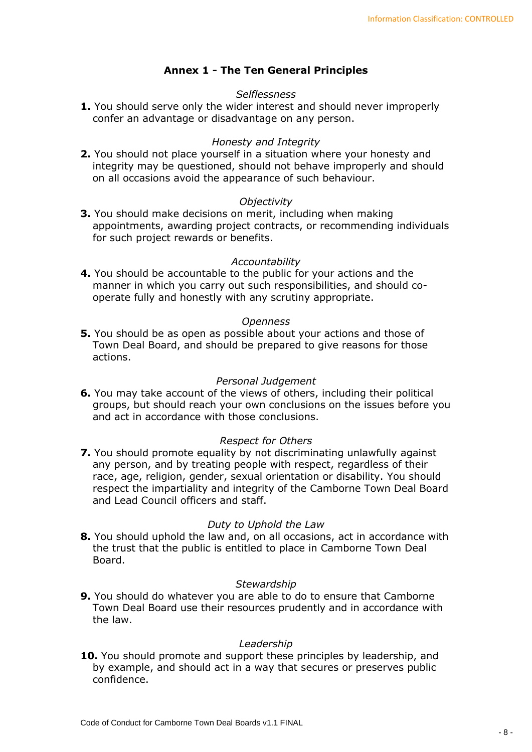# **Annex 1 - The Ten General Principles**

## *Selflessness*

**1.** You should serve only the wider interest and should never improperly confer an advantage or disadvantage on any person.

### *Honesty and Integrity*

**2.** You should not place yourself in a situation where your honesty and integrity may be questioned, should not behave improperly and should on all occasions avoid the appearance of such behaviour.

### *Objectivity*

**3.** You should make decisions on merit, including when making appointments, awarding project contracts, or recommending individuals for such project rewards or benefits.

### *Accountability*

**4.** You should be accountable to the public for your actions and the manner in which you carry out such responsibilities, and should cooperate fully and honestly with any scrutiny appropriate.

#### *Openness*

**5.** You should be as open as possible about your actions and those of Town Deal Board, and should be prepared to give reasons for those actions.

#### *Personal Judgement*

**6.** You may take account of the views of others, including their political groups, but should reach your own conclusions on the issues before you and act in accordance with those conclusions.

## *Respect for Others*

**7.** You should promote equality by not discriminating unlawfully against any person, and by treating people with respect, regardless of their race, age, religion, gender, sexual orientation or disability. You should respect the impartiality and integrity of the Camborne Town Deal Board and Lead Council officers and staff.

#### *Duty to Uphold the Law*

**8.** You should uphold the law and, on all occasions, act in accordance with the trust that the public is entitled to place in Camborne Town Deal Board.

#### *Stewardship*

**9.** You should do whatever you are able to do to ensure that Camborne Town Deal Board use their resources prudently and in accordance with the law.

#### *Leadership*

**10.** You should promote and support these principles by leadership, and by example, and should act in a way that secures or preserves public confidence.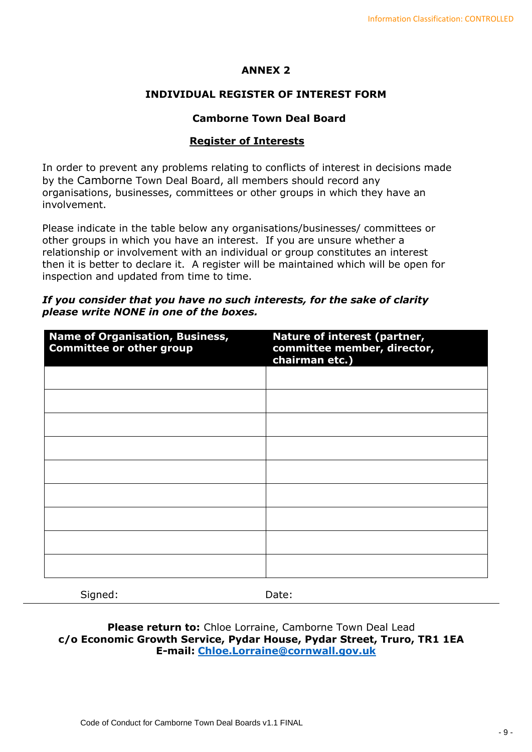# **ANNEX 2**

# **INDIVIDUAL REGISTER OF INTEREST FORM**

## **Camborne Town Deal Board**

## **Register of Interests**

In order to prevent any problems relating to conflicts of interest in decisions made by the Camborne Town Deal Board, all members should record any organisations, businesses, committees or other groups in which they have an involvement.

Please indicate in the table below any organisations/businesses/ committees or other groups in which you have an interest. If you are unsure whether a relationship or involvement with an individual or group constitutes an interest then it is better to declare it. A register will be maintained which will be open for inspection and updated from time to time.

| <b>Name of Organisation, Business,</b><br><b>Committee or other group</b> | Nature of interest (partner,<br>committee member, director,<br>chairman etc.) |
|---------------------------------------------------------------------------|-------------------------------------------------------------------------------|
|                                                                           |                                                                               |
|                                                                           |                                                                               |
|                                                                           |                                                                               |
|                                                                           |                                                                               |
|                                                                           |                                                                               |
|                                                                           |                                                                               |
|                                                                           |                                                                               |
|                                                                           |                                                                               |
|                                                                           |                                                                               |
|                                                                           |                                                                               |

## *If you consider that you have no such interests, for the sake of clarity please write NONE in one of the boxes.*

Signed: Date:

**Please return to:** Chloe Lorraine, Camborne Town Deal Lead **c/o Economic Growth Service, Pydar House, Pydar Street, Truro, TR1 1EA E-mail: [Chloe.Lorraine@cornwall.gov.uk](mailto:Chloe.Lorraine@cornwall.gov.uk)**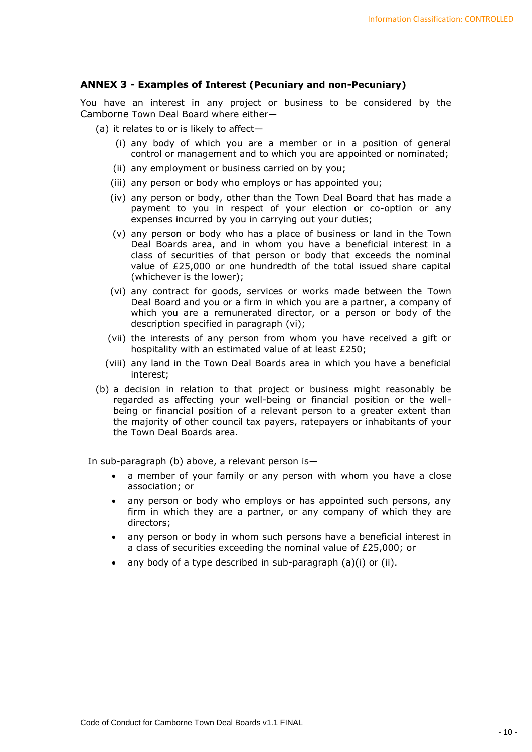### **ANNEX 3 - Examples of Interest (Pecuniary and non-Pecuniary)**

You have an interest in any project or business to be considered by the Camborne Town Deal Board where either—

- (a) it relates to or is likely to affect—
	- (i) any body of which you are a member or in a position of general control or management and to which you are appointed or nominated;
	- (ii) any employment or business carried on by you;
	- (iii) any person or body who employs or has appointed you;
	- (iv) any person or body, other than the Town Deal Board that has made a payment to you in respect of your election or co-option or any expenses incurred by you in carrying out your duties;
	- (v) any person or body who has a place of business or land in the Town Deal Boards area, and in whom you have a beneficial interest in a class of securities of that person or body that exceeds the nominal value of £25,000 or one hundredth of the total issued share capital (whichever is the lower);
	- (vi) any contract for goods, services or works made between the Town Deal Board and you or a firm in which you are a partner, a company of which you are a remunerated director, or a person or body of the description specified in paragraph (vi);
	- (vii) the interests of any person from whom you have received a gift or hospitality with an estimated value of at least £250;
	- (viii) any land in the Town Deal Boards area in which you have a beneficial interest;
- (b) a decision in relation to that project or business might reasonably be regarded as affecting your well-being or financial position or the wellbeing or financial position of a relevant person to a greater extent than the majority of other council tax payers, ratepayers or inhabitants of your the Town Deal Boards area.

In sub-paragraph (b) above, a relevant person is—

- a member of your family or any person with whom you have a close association; or
- any person or body who employs or has appointed such persons, any firm in which they are a partner, or any company of which they are directors;
- any person or body in whom such persons have a beneficial interest in a class of securities exceeding the nominal value of £25,000; or
- any body of a type described in sub-paragraph  $(a)(i)$  or  $(ii)$ .